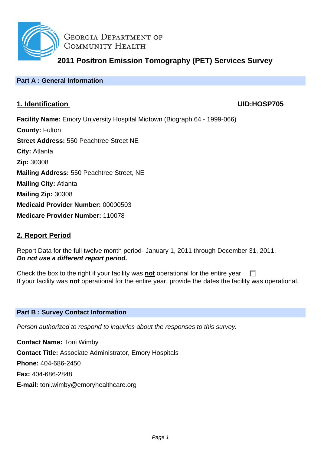

**GEORGIA DEPARTMENT OF** COMMUNITY HEALTH

**2011 Positron Emission Tomography (PET) Services Survey**

## **Part A : General Information**

# **1. Identification UID:HOSP705**

**Facility Name:** Emory University Hospital Midtown (Biograph 64 - 1999-066) **County:** Fulton **Street Address:** 550 Peachtree Street NE **City:** Atlanta **Zip:** 30308 **Mailing Address:** 550 Peachtree Street, NE **Mailing City:** Atlanta **Mailing Zip:** 30308 **Medicaid Provider Number:** 00000503 **Medicare Provider Number:** 110078

# **2. Report Period**

Report Data for the full twelve month period- January 1, 2011 through December 31, 2011. **Do not use a different report period.**

Check the box to the right if your facility was **not** operational for the entire year.  $\Box$ If your facility was **not** operational for the entire year, provide the dates the facility was operational.

## **Part B : Survey Contact Information**

Person authorized to respond to inquiries about the responses to this survey.

**Contact Name:** Toni Wimby **Contact Title:** Associate Administrator, Emory Hospitals **Phone:** 404-686-2450 **Fax:** 404-686-2848 **E-mail:** toni.wimby@emoryhealthcare.org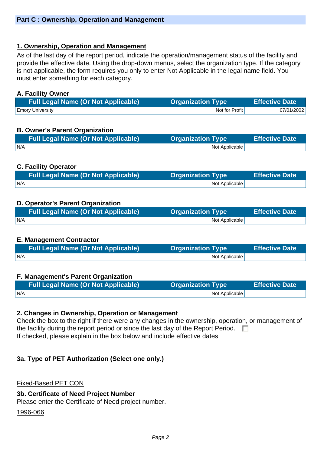## **1. Ownership, Operation and Management**

As of the last day of the report period, indicate the operation/management status of the facility and provide the effective date. Using the drop-down menus, select the organization type. If the category is not applicable, the form requires you only to enter Not Applicable in the legal name field. You must enter something for each category.

### **A. Facility Owner**

| <b>Full Legal Name (Or Not Applicable)</b> | <b>Organization Type</b> | <b>Effective Date</b> |
|--------------------------------------------|--------------------------|-----------------------|
| <b>Emory University</b>                    | Not for Profit           | 07/01/2002            |

## **B. Owner's Parent Organization**

| <b>Full Legal Name (Or Not Applicable)</b> | <b>Organization Type</b> | <b>Effective Date</b> |
|--------------------------------------------|--------------------------|-----------------------|
| I N/A                                      | Not Applicable           |                       |

## **C. Facility Operator**

|     | <b>Organization Type</b> | <b>Effective Date</b> |
|-----|--------------------------|-----------------------|
| N/A | Not Applicable           |                       |

## **D. Operator's Parent Organization**

| <b>Full Legal Name (Or Not Applicable)</b> | <b>Organization Type</b> | <b>Effective Date</b> |
|--------------------------------------------|--------------------------|-----------------------|
| N/A                                        | Not Applicable           |                       |

### **E. Management Contractor**

| <b>Full Legal Name (Or Not Applicable)</b> | <b>Organization Type</b> | <b>Effective Date</b> |
|--------------------------------------------|--------------------------|-----------------------|
| IN/A                                       | Not Applicable           |                       |

### **F. Management's Parent Organization**

| <b>Full Legal Name (Or Not Applicable)</b> | <b>Organization Type</b> | <b>Effective Date</b> |
|--------------------------------------------|--------------------------|-----------------------|
| N/A                                        | Not Applicable           |                       |

### **2. Changes in Ownership, Operation or Management**

Check the box to the right if there were any changes in the ownership, operation, or management of the facility during the report period or since the last day of the Report Period.  $\Box$ If checked, please explain in the box below and include effective dates.

## **3a. Type of PET Authorization (Select one only.)**

Fixed-Based PET CON

### **3b. Certificate of Need Project Number**

Please enter the Certificate of Need project number.

#### 1996-066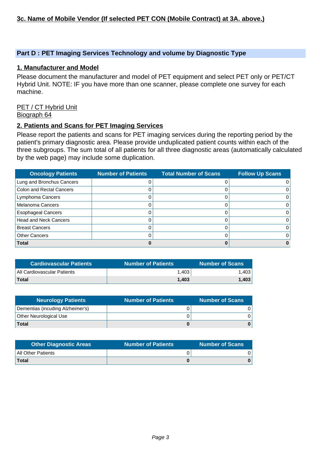### **Part D : PET Imaging Services Technology and volume by Diagnostic Type**

#### **1. Manufacturer and Model**

Please document the manufacturer and model of PET equipment and select PET only or PET/CT Hybrid Unit. NOTE: IF you have more than one scanner, please complete one survey for each machine.

#### PET / CT Hybrid Unit Biograph 64

#### **2. Patients and Scans for PET Imaging Services**

Please report the patients and scans for PET imaging services during the reporting period by the patient's primary diagnostic area. Please provide unduplicated patient counts within each of the three subgroups. The sum total of all patients for all three diagnostic areas (automatically calculated by the web page) may include some duplication.

| <b>Oncology Patients</b>        | <b>Number of Patients</b> | <b>Total Number of Scans</b> | <b>Follow Up Scans</b> |
|---------------------------------|---------------------------|------------------------------|------------------------|
| Lung and Bronchus Cancers       | O                         |                              |                        |
| <b>Colon and Rectal Cancers</b> |                           |                              |                        |
| Lymphoma Cancers                |                           |                              |                        |
| Melanoma Cancers                |                           |                              |                        |
| <b>Esophageal Cancers</b>       |                           |                              |                        |
| <b>Head and Neck Cancers</b>    |                           |                              |                        |
| <b>Breast Cancers</b>           | O                         |                              |                        |
| <b>Other Cancers</b>            |                           |                              |                        |
| <b>Total</b>                    |                           |                              |                        |

| <b>Cardiovascular Patients</b> | <b>Number of Patients</b> | <b>Number of Scans</b> |
|--------------------------------|---------------------------|------------------------|
| All Cardiovascular Patients    | 1.403                     | 1.403                  |
| <b>Total</b>                   | 1.403                     | 1.403                  |

| Neurology Patients               | <b>Number of Patients</b> | <b>Number of Scans</b> |
|----------------------------------|---------------------------|------------------------|
| Dementias (incuding Alzheimer's) |                           |                        |
| Other Neurological Use           |                           |                        |
| <b>Total</b>                     |                           |                        |

| <b>Other Diagnostic Areas</b> | <b>Number of Patients</b> | <b>Number of Scans</b> |
|-------------------------------|---------------------------|------------------------|
| All Other Patients            |                           |                        |
| Total                         |                           |                        |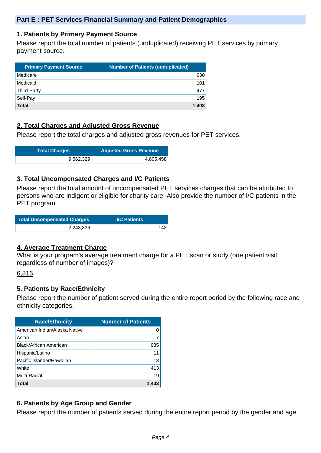### **1. Patients by Primary Payment Source**

Please report the total number of patients (unduplicated) receiving PET services by primary payment source.

| <b>Primary Payment Source</b> | <b>Number of Patients (unduplicated)</b> |
|-------------------------------|------------------------------------------|
| Medicare                      | 630                                      |
| Medicaid                      | 101                                      |
| Third-Party                   | 477                                      |
| Self-Pay                      | 195                                      |
| <b>Total</b>                  | 1.403                                    |

## **2. Total Charges and Adjusted Gross Revenue**

Please report the total charges and adjusted gross revenues for PET services.

| <b>Total Charges</b> | <b>Adjusted Gross Revenue</b> |
|----------------------|-------------------------------|
| 9,562,329            | 4,805,458                     |

### **3. Total Uncompensated Charges and I/C Patients**

Please report the total amount of uncompensated PET services charges that can be attributed to persons who are indigent or eligible for charity care. Also provide the number of I/C patients in the PET program.

| Total Uncompensated Charges | <b>I/C Patients</b> |  |
|-----------------------------|---------------------|--|
| 2,243,336                   | 142                 |  |

### **4. Average Treatment Charge**

What is your program's average treatment charge for a PET scan or study (one patient visit regardless of number of images)?

### 6,816

### **5. Patients by Race/Ethnicity**

Please report the number of patient served during the entire report period by the following race and ethnicity categories.

| <b>Race/Ethnicity</b>         | <b>Number of Patients</b> |
|-------------------------------|---------------------------|
| American Indian/Alaska Native | 0                         |
| Asian                         | 7                         |
| <b>Black/African American</b> | 935                       |
| Hispanic/Latino               | 11                        |
| Pacific Islander/Hawaiian     | 18                        |
| White                         | 413                       |
| Multi-Racial                  | 19                        |
| Total                         | 1.403                     |

## **6. Patients by Age Group and Gender**

Please report the number of patients served during the entire report period by the gender and age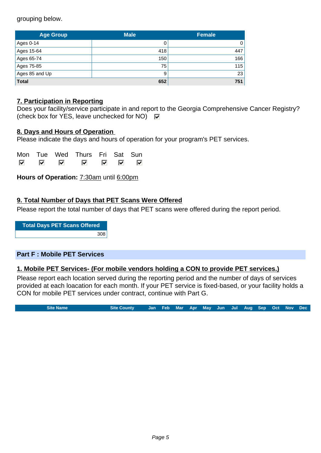grouping below.

| <b>Age Group</b> | <b>Male</b> | <b>Female</b> |  |
|------------------|-------------|---------------|--|
| Ages 0-14        |             | 0             |  |
| Ages 15-64       | 418         | 447           |  |
| Ages 65-74       | 150         | 166           |  |
| Ages 75-85       | 75          | 115           |  |
| Ages 85 and Up   | 9           | 23            |  |
| <b>Total</b>     | 652         | 751           |  |

## **7. Participation in Reporting**

|                                                                     | Does your facility/service participate in and report to the Georgia Comprehensive Cancer Registry? |
|---------------------------------------------------------------------|----------------------------------------------------------------------------------------------------|
| (check box for YES, leave unchecked for NO) $\overline{\mathbf{v}}$ |                                                                                                    |

### **8. Days and Hours of Operation**

Please indicate the days and hours of operation for your program's PET services.

|     |    | Mon Tue Wed Thurs Fri Sat Sun |      |   |
|-----|----|-------------------------------|------|---|
| ल ल | ार |                               | ाज ज | 罓 |

**Hours of Operation:** 7:30am until 6:00pm

## **9. Total Number of Days that PET Scans Were Offered**

Please report the total number of days that PET scans were offered during the report period.

**Total Days PET Scans Offered** 308

### **Part F : Mobile PET Services**

### **1. Mobile PET Services- (For mobile vendors holding a CON to provide PET services.)**

Please report each location served during the reporting period and the number of days of services provided at each loacation for each month. If your PET service is fixed-based, or your facility holds a CON for mobile PET services under contract, continue with Part G.

**Site Name Site County Jan Feb Mar Apr May Jun Jul Aug Sep Oct Nov Dec**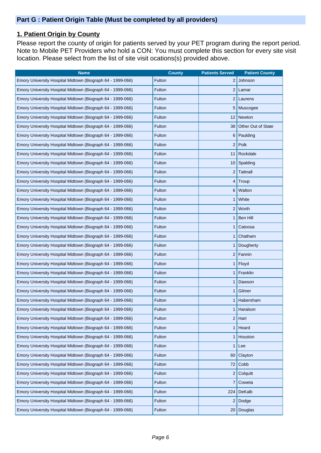# **1. Patient Origin by County**

Please report the county of origin for patients served by your PET program during the report period. Note to Mobile PET Providers who hold a CON: You must complete this section for every site visit location. Please select from the list of site visit ocations(s) provided above.

| <b>Name</b>                                                | <b>County</b> | <b>Patients Served</b> | <b>Patient County</b>     |
|------------------------------------------------------------|---------------|------------------------|---------------------------|
| Emory University Hospital Midtown (Biograph 64 - 1999-066) | Fulton        | $\overline{2}$         | Johnson                   |
| Emory University Hospital Midtown (Biograph 64 - 1999-066) | Fulton        | $\overline{2}$         | Lamar                     |
| Emory University Hospital Midtown (Biograph 64 - 1999-066) | Fulton        | $\overline{2}$         | Laurens                   |
| Emory University Hospital Midtown (Biograph 64 - 1999-066) | Fulton        | 5                      | Muscogee                  |
| Emory University Hospital Midtown (Biograph 64 - 1999-066) | Fulton        | 12                     | Newton                    |
| Emory University Hospital Midtown (Biograph 64 - 1999-066) | Fulton        | 38                     | <b>Other Out of State</b> |
| Emory University Hospital Midtown (Biograph 64 - 1999-066) | Fulton        | 6                      | Paulding                  |
| Emory University Hospital Midtown (Biograph 64 - 1999-066) | Fulton        | $\overline{2}$         | Polk                      |
| Emory University Hospital Midtown (Biograph 64 - 1999-066) | Fulton        | 11                     | Rockdale                  |
| Emory University Hospital Midtown (Biograph 64 - 1999-066) | Fulton        | 10                     | Spalding                  |
| Emory University Hospital Midtown (Biograph 64 - 1999-066) | Fulton        | $\overline{2}$         | Tattnall                  |
| Emory University Hospital Midtown (Biograph 64 - 1999-066) | Fulton        | 4                      | Troup                     |
| Emory University Hospital Midtown (Biograph 64 - 1999-066) | Fulton        | 6                      | Walton                    |
| Emory University Hospital Midtown (Biograph 64 - 1999-066) | Fulton        | 1                      | White                     |
| Emory University Hospital Midtown (Biograph 64 - 1999-066) | Fulton        | $\overline{2}$         | Worth                     |
| Emory University Hospital Midtown (Biograph 64 - 1999-066) | Fulton        | 1                      | Ben Hill                  |
| Emory University Hospital Midtown (Biograph 64 - 1999-066) | Fulton        | 1                      | Catoosa                   |
| Emory University Hospital Midtown (Biograph 64 - 1999-066) | Fulton        | 1                      | Chatham                   |
| Emory University Hospital Midtown (Biograph 64 - 1999-066) | Fulton        |                        | Dougherty                 |
| Emory University Hospital Midtown (Biograph 64 - 1999-066) | Fulton        | $\overline{2}$         | Fannin                    |
| Emory University Hospital Midtown (Biograph 64 - 1999-066) | Fulton        | 1                      | Floyd                     |
| Emory University Hospital Midtown (Biograph 64 - 1999-066) | Fulton        |                        | Franklin                  |
| Emory University Hospital Midtown (Biograph 64 - 1999-066) | Fulton        | 1                      | Dawson                    |
| Emory University Hospital Midtown (Biograph 64 - 1999-066) | Fulton        | 1                      | Gilmer                    |
| Emory University Hospital Midtown (Biograph 64 - 1999-066) | Fulton        |                        | Habersham                 |
| Emory University Hospital Midtown (Biograph 64 - 1999-066) | Fulton        | 1                      | Haralson                  |
| Emory University Hospital Midtown (Biograph 64 - 1999-066) | Fulton        | $\overline{2}$         | Hart                      |
| Emory University Hospital Midtown (Biograph 64 - 1999-066) | Fulton        | 1                      | Heard                     |
| Emory University Hospital Midtown (Biograph 64 - 1999-066) | Fulton        | 1                      | Houston                   |
| Emory University Hospital Midtown (Biograph 64 - 1999-066) | Fulton        | 1                      | Lee                       |
| Emory University Hospital Midtown (Biograph 64 - 1999-066) | Fulton        | 60                     | Clayton                   |
| Emory University Hospital Midtown (Biograph 64 - 1999-066) | Fulton        | 72                     | Cobb                      |
| Emory University Hospital Midtown (Biograph 64 - 1999-066) | Fulton        | 2                      | Colquitt                  |
| Emory University Hospital Midtown (Biograph 64 - 1999-066) | Fulton        | 7                      | Coweta                    |
| Emory University Hospital Midtown (Biograph 64 - 1999-066) | Fulton        | 224                    | DeKalb                    |
| Emory University Hospital Midtown (Biograph 64 - 1999-066) | Fulton        | $\overline{2}$         | Dodge                     |
| Emory University Hospital Midtown (Biograph 64 - 1999-066) | Fulton        | 20                     | Douglas                   |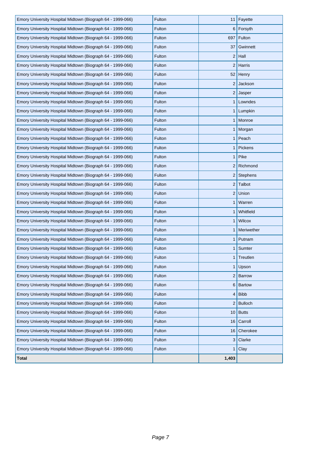| Emory University Hospital Midtown (Biograph 64 - 1999-066) | Fulton | 11 <sup>1</sup> | Fayette        |
|------------------------------------------------------------|--------|-----------------|----------------|
| Emory University Hospital Midtown (Biograph 64 - 1999-066) | Fulton |                 | 6 Forsyth      |
| Emory University Hospital Midtown (Biograph 64 - 1999-066) | Fulton | 697             | Fulton         |
| Emory University Hospital Midtown (Biograph 64 - 1999-066) | Fulton | 37              | Gwinnett       |
| Emory University Hospital Midtown (Biograph 64 - 1999-066) | Fulton | 2               | Hall           |
| Emory University Hospital Midtown (Biograph 64 - 1999-066) | Fulton | 2               | Harris         |
| Emory University Hospital Midtown (Biograph 64 - 1999-066) | Fulton | 52              | Henry          |
| Emory University Hospital Midtown (Biograph 64 - 1999-066) | Fulton |                 | $2$ Jackson    |
| Emory University Hospital Midtown (Biograph 64 - 1999-066) | Fulton | 2               | Jasper         |
| Emory University Hospital Midtown (Biograph 64 - 1999-066) | Fulton |                 | $1$ Lowndes    |
| Emory University Hospital Midtown (Biograph 64 - 1999-066) | Fulton |                 | 1 Lumpkin      |
| Emory University Hospital Midtown (Biograph 64 - 1999-066) | Fulton |                 | 1 Monroe       |
| Emory University Hospital Midtown (Biograph 64 - 1999-066) | Fulton |                 | 1 Morgan       |
| Emory University Hospital Midtown (Biograph 64 - 1999-066) | Fulton |                 | $1$ Peach      |
| Emory University Hospital Midtown (Biograph 64 - 1999-066) | Fulton | 1 <sup>1</sup>  | Pickens        |
| Emory University Hospital Midtown (Biograph 64 - 1999-066) | Fulton |                 | $1$ Pike       |
| Emory University Hospital Midtown (Biograph 64 - 1999-066) | Fulton |                 | 2 Richmond     |
| Emory University Hospital Midtown (Biograph 64 - 1999-066) | Fulton |                 | 2 Stephens     |
| Emory University Hospital Midtown (Biograph 64 - 1999-066) | Fulton |                 | $2$ Talbot     |
| Emory University Hospital Midtown (Biograph 64 - 1999-066) | Fulton |                 | $2$ Union      |
| Emory University Hospital Midtown (Biograph 64 - 1999-066) | Fulton | 1               | Warren         |
| Emory University Hospital Midtown (Biograph 64 - 1999-066) | Fulton |                 | 1 Whitfield    |
| Emory University Hospital Midtown (Biograph 64 - 1999-066) | Fulton | 1 <sup>1</sup>  | <b>Wilcox</b>  |
| Emory University Hospital Midtown (Biograph 64 - 1999-066) | Fulton |                 | 1   Meriwether |
| Emory University Hospital Midtown (Biograph 64 - 1999-066) | Fulton |                 | 1   Putnam     |
| Emory University Hospital Midtown (Biograph 64 - 1999-066) | Fulton |                 | 1   Sumter     |
| Emory University Hospital Midtown (Biograph 64 - 1999-066) | Fulton |                 | Treutlen       |
| Emory University Hospital Midtown (Biograph 64 - 1999-066) | Fulton | 1 <sup>1</sup>  | Upson          |
| Emory University Hospital Midtown (Biograph 64 - 1999-066) | Fulton |                 | $2$ Barrow     |
| Emory University Hospital Midtown (Biograph 64 - 1999-066) | Fulton | 6               | <b>Bartow</b>  |
| Emory University Hospital Midtown (Biograph 64 - 1999-066) | Fulton | $\overline{4}$  | <b>Bibb</b>    |
| Emory University Hospital Midtown (Biograph 64 - 1999-066) | Fulton | 2               | <b>Bulloch</b> |
| Emory University Hospital Midtown (Biograph 64 - 1999-066) | Fulton |                 | $10$ Butts     |
| Emory University Hospital Midtown (Biograph 64 - 1999-066) | Fulton | 16              | Carroll        |
| Emory University Hospital Midtown (Biograph 64 - 1999-066) | Fulton | 16              | Cherokee       |
| Emory University Hospital Midtown (Biograph 64 - 1999-066) | Fulton | 3               | Clarke         |
| Emory University Hospital Midtown (Biograph 64 - 1999-066) | Fulton | $\mathbf{1}$    | Clay           |
| Total                                                      |        | 1,403           |                |